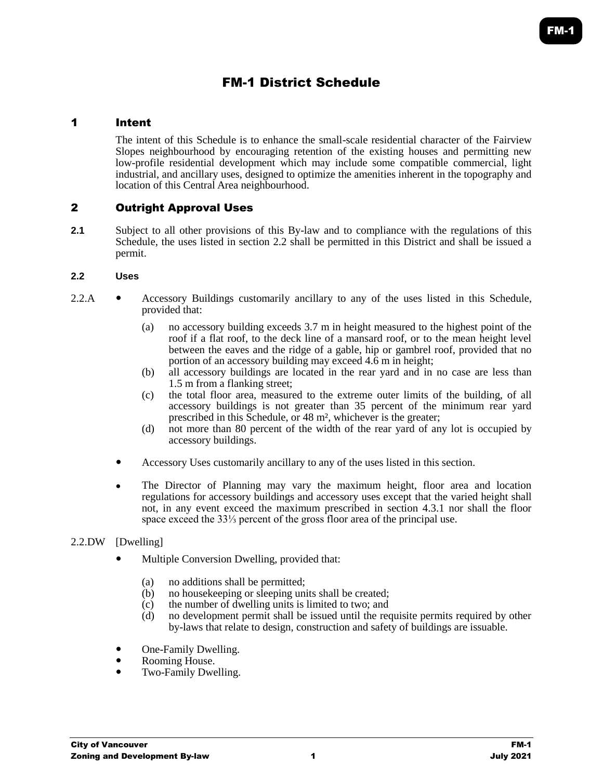# FM-1 District Schedule

# 1 Intent

The intent of this Schedule is to enhance the small-scale residential character of the Fairview Slopes neighbourhood by encouraging retention of the existing houses and permitting new low-profile residential development which may include some compatible commercial, light industrial, and ancillary uses, designed to optimize the amenities inherent in the topography and location of this Central Area neighbourhood.

# 2 Outright Approval Uses

**2.1** Subject to all other provisions of this By-law and to compliance with the regulations of this Schedule, the uses listed in section 2.2 shall be permitted in this District and shall be issued a permit.

# **2.2 Uses**

- 2.2.A Accessory Buildings customarily ancillary to any of the uses listed in this Schedule, provided that:
	- (a) no accessory building exceeds 3.7 m in height measured to the highest point of the roof if a flat roof, to the deck line of a mansard roof, or to the mean height level between the eaves and the ridge of a gable, hip or gambrel roof, provided that no portion of an accessory building may exceed 4.6 m in height;
	- (b) all accessory buildings are located in the rear yard and in no case are less than 1.5 m from a flanking street;
	- (c) the total floor area, measured to the extreme outer limits of the building, of all accessory buildings is not greater than 35 percent of the minimum rear yard prescribed in this Schedule, or 48 m², whichever is the greater;
	- (d) not more than 80 percent of the width of the rear yard of any lot is occupied by accessory buildings.
	- Accessory Uses customarily ancillary to any of the uses listed in this section.
	- The Director of Planning may vary the maximum height, floor area and location regulations for accessory buildings and accessory uses except that the varied height shall not, in any event exceed the maximum prescribed in section 4.3.1 nor shall the floor space exceed the 33⅓ percent of the gross floor area of the principal use.

## 2.2.DW [Dwelling]

- Multiple Conversion Dwelling, provided that:
	- (a) no additions shall be permitted;
	- (b) no housekeeping or sleeping units shall be created;
	- (c) the number of dwelling units is limited to two; and  $(d)$  no development permit shall be issued until the red
	- no development permit shall be issued until the requisite permits required by other by-laws that relate to design, construction and safety of buildings are issuable.
- One-Family Dwelling.
- Rooming House.
- Two-Family Dwelling.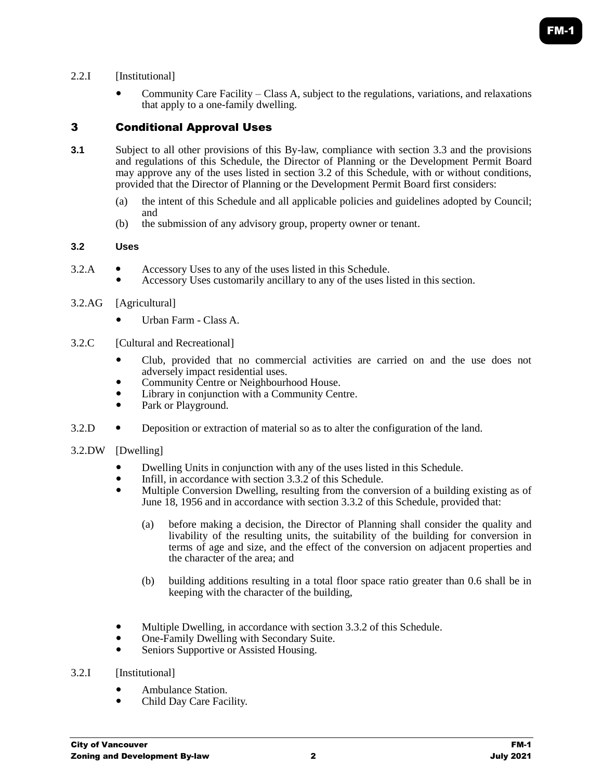# 2.2.I [Institutional]

 Community Care Facility – Class A, subject to the regulations, variations, and relaxations that apply to a one-family dwelling.

# 3 Conditional Approval Uses

- **3.1** Subject to all other provisions of this By-law, compliance with section 3.3 and the provisions and regulations of this Schedule, the Director of Planning or the Development Permit Board may approve any of the uses listed in section 3.2 of this Schedule, with or without conditions, provided that the Director of Planning or the Development Permit Board first considers:
	- (a) the intent of this Schedule and all applicable policies and guidelines adopted by Council; and
	- (b) the submission of any advisory group, property owner or tenant.

# **3.2 Uses**

- 3.2.A Accessory Uses to any of the uses listed in this Schedule.
	- Accessory Uses customarily ancillary to any of the uses listed in this section.

# 3.2.AG [Agricultural]

- Urban Farm Class A.
- 3.2.C [Cultural and Recreational]
	- Club, provided that no commercial activities are carried on and the use does not adversely impact residential uses.
	- Community Centre or Neighbourhood House.
	- Library in conjunction with a Community Centre.
	- Park or Playground.
- 3.2.D Deposition or extraction of material so as to alter the configuration of the land.

## 3.2.DW [Dwelling]

- <b>Dwelling Units in conjunction with any of the uses listed in this Schedule.</b> <b>Infill in accordance with section 3.3.2 of this Schedule.</b>
- Infill, in accordance with section 3.3.2 of this Schedule.
- Multiple Conversion Dwelling, resulting from the conversion of a building existing as of June 18, 1956 and in accordance with section 3.3.2 of this Schedule, provided that:
	- (a) before making a decision, the Director of Planning shall consider the quality and livability of the resulting units, the suitability of the building for conversion in terms of age and size, and the effect of the conversion on adjacent properties and the character of the area; and
	- (b) building additions resulting in a total floor space ratio greater than 0.6 shall be in keeping with the character of the building,
- Multiple Dwelling, in accordance with section 3.3.2 of this Schedule.
- One-Family Dwelling with Secondary Suite.
- Seniors Supportive or Assisted Housing.

## 3.2.I [Institutional]

- Ambulance Station.
- Child Day Care Facility.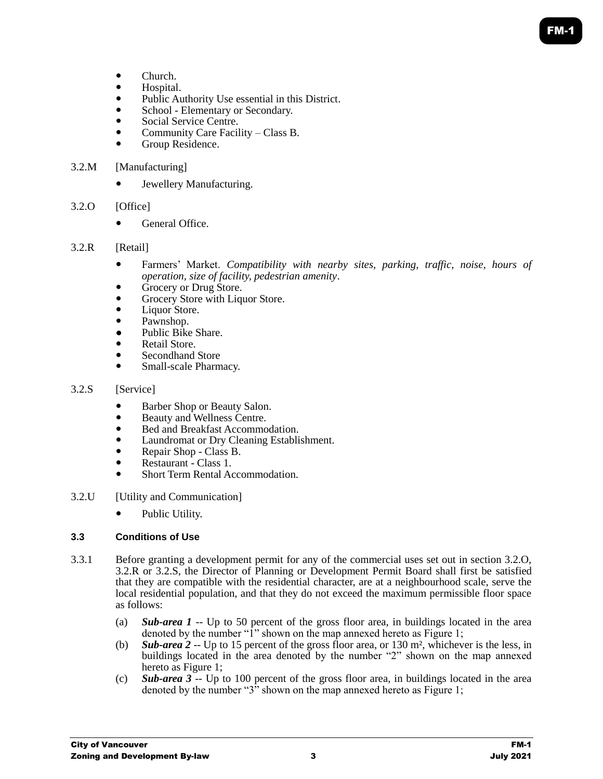- Church.
- Hospital.
- Public Authority Use essential in this District.
- School Elementary or Secondary.
- Social Service Centre.
- Community Care Facility Class B.
- Group Residence.

# 3.2.M [Manufacturing]

Jewellery Manufacturing.

# 3.2.O [Office]

• General Office

# 3.2.R [Retail]

- Farmers' Market. *Compatibility with nearby sites, parking, traffic, noise, hours of operation, size of facility, pedestrian amenity*.
- Grocery or Drug Store.
- Grocery Store with Liquor Store.
- Liquor Store.
- Pawnshop.
- Public Bike Share.
- Retail Store.
- Secondhand Store
- Small-scale Pharmacy.

## 3.2.S [Service]

- Barber Shop or Beauty Salon.
- Beauty and Wellness Centre.
- Bed and Breakfast Accommodation.
- Laundromat or Dry Cleaning Establishment.
- Repair Shop Class B.
- Restaurant Class 1.
- Short Term Rental Accommodation.
- 3.2.U [Utility and Communication]
	- Public Utility.

## **3.3 Conditions of Use**

- 3.3.1 Before granting a development permit for any of the commercial uses set out in section 3.2.O, 3.2.R or 3.2.S, the Director of Planning or Development Permit Board shall first be satisfied that they are compatible with the residential character, are at a neighbourhood scale, serve the local residential population, and that they do not exceed the maximum permissible floor space as follows:
	- (a) *Sub-area 1* -- Up to 50 percent of the gross floor area, in buildings located in the area denoted by the number "1" shown on the map annexed hereto as Figure 1;
	- (b) *Sub-area 2* -- Up to 15 percent of the gross floor area, or 130 m², whichever is the less, in buildings located in the area denoted by the number "2" shown on the map annexed hereto as Figure 1;
	- (c) *Sub-area 3* -- Up to 100 percent of the gross floor area, in buildings located in the area denoted by the number " $3$ " shown on the map annexed hereto as Figure 1;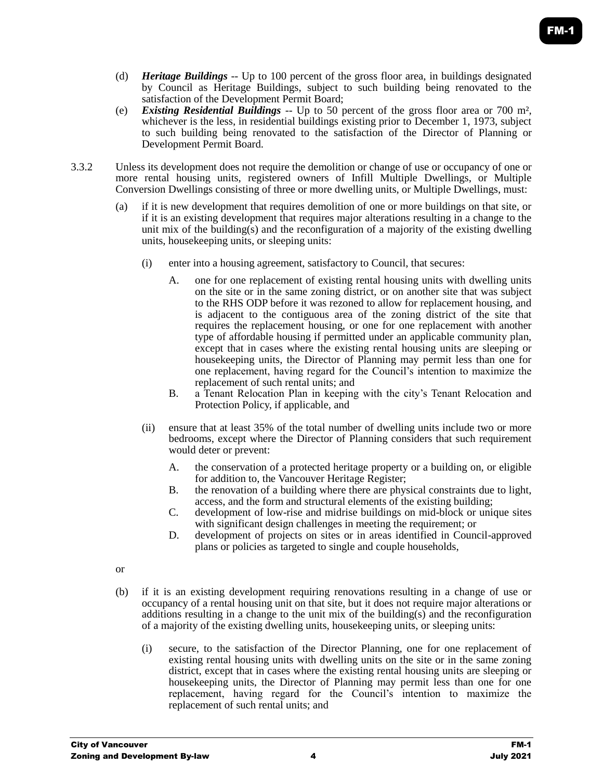- (d) *Heritage Buildings* -- Up to 100 percent of the gross floor area, in buildings designated by Council as Heritage Buildings, subject to such building being renovated to the satisfaction of the Development Permit Board;
- (e) *Existing Residential Buildings* -- Up to 50 percent of the gross floor area or 700 m², whichever is the less, in residential buildings existing prior to December 1, 1973, subject to such building being renovated to the satisfaction of the Director of Planning or Development Permit Board.
- 3.3.2 Unless its development does not require the demolition or change of use or occupancy of one or more rental housing units, registered owners of Infill Multiple Dwellings, or Multiple Conversion Dwellings consisting of three or more dwelling units, or Multiple Dwellings, must:
	- (a) if it is new development that requires demolition of one or more buildings on that site, or if it is an existing development that requires major alterations resulting in a change to the unit mix of the building(s) and the reconfiguration of a majority of the existing dwelling units, housekeeping units, or sleeping units:
		- (i) enter into a housing agreement, satisfactory to Council, that secures:
			- A. one for one replacement of existing rental housing units with dwelling units on the site or in the same zoning district, or on another site that was subject to the RHS ODP before it was rezoned to allow for replacement housing, and is adjacent to the contiguous area of the zoning district of the site that requires the replacement housing, or one for one replacement with another type of affordable housing if permitted under an applicable community plan, except that in cases where the existing rental housing units are sleeping or housekeeping units, the Director of Planning may permit less than one for one replacement, having regard for the Council's intention to maximize the replacement of such rental units; and
			- B. a Tenant Relocation Plan in keeping with the city's Tenant Relocation and Protection Policy, if applicable, and
		- (ii) ensure that at least 35% of the total number of dwelling units include two or more bedrooms, except where the Director of Planning considers that such requirement would deter or prevent:
			- A. the conservation of a protected heritage property or a building on, or eligible for addition to, the Vancouver Heritage Register;
			- B. the renovation of a building where there are physical constraints due to light, access, and the form and structural elements of the existing building;
			- C. development of low-rise and midrise buildings on mid-block or unique sites with significant design challenges in meeting the requirement; or
			- D. development of projects on sites or in areas identified in Council-approved plans or policies as targeted to single and couple households,
	- or
	- (b) if it is an existing development requiring renovations resulting in a change of use or occupancy of a rental housing unit on that site, but it does not require major alterations or additions resulting in a change to the unit mix of the building(s) and the reconfiguration of a majority of the existing dwelling units, housekeeping units, or sleeping units:
		- (i) secure, to the satisfaction of the Director Planning, one for one replacement of existing rental housing units with dwelling units on the site or in the same zoning district, except that in cases where the existing rental housing units are sleeping or housekeeping units, the Director of Planning may permit less than one for one replacement, having regard for the Council's intention to maximize the replacement of such rental units; and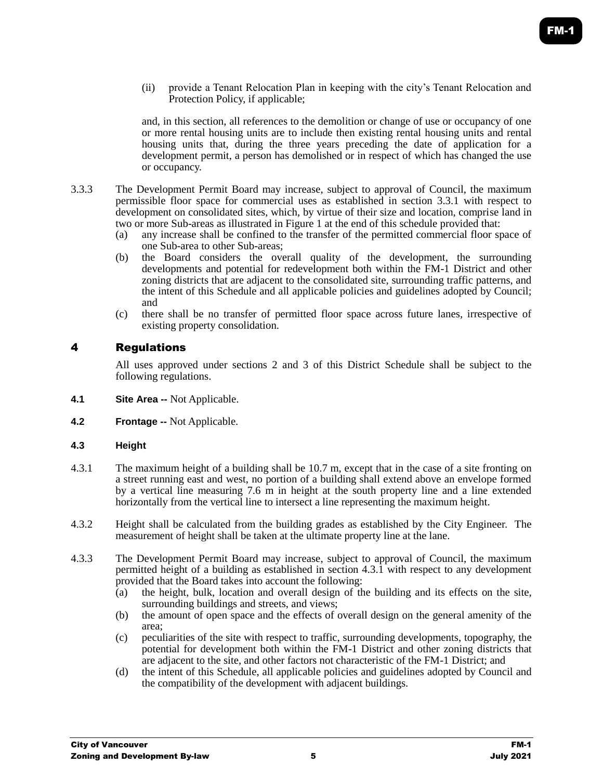(ii) provide a Tenant Relocation Plan in keeping with the city's Tenant Relocation and Protection Policy, if applicable;

and, in this section, all references to the demolition or change of use or occupancy of one or more rental housing units are to include then existing rental housing units and rental housing units that, during the three years preceding the date of application for a development permit, a person has demolished or in respect of which has changed the use or occupancy.

- 3.3.3 The Development Permit Board may increase, subject to approval of Council, the maximum permissible floor space for commercial uses as established in section 3.3.1 with respect to development on consolidated sites, which, by virtue of their size and location, comprise land in two or more Sub-areas as illustrated in Figure 1 at the end of this schedule provided that:
	- (a) any increase shall be confined to the transfer of the permitted commercial floor space of one Sub-area to other Sub-areas;
	- (b) the Board considers the overall quality of the development, the surrounding developments and potential for redevelopment both within the FM-1 District and other zoning districts that are adjacent to the consolidated site, surrounding traffic patterns, and the intent of this Schedule and all applicable policies and guidelines adopted by Council; and
	- (c) there shall be no transfer of permitted floor space across future lanes, irrespective of existing property consolidation.

# 4 Regulations

All uses approved under sections 2 and 3 of this District Schedule shall be subject to the following regulations.

- **4.1 Site Area --** Not Applicable.
- **4.2 Frontage --** Not Applicable.

## **4.3 Height**

- 4.3.1 The maximum height of a building shall be 10.7 m, except that in the case of a site fronting on a street running east and west, no portion of a building shall extend above an envelope formed by a vertical line measuring 7.6 m in height at the south property line and a line extended horizontally from the vertical line to intersect a line representing the maximum height.
- 4.3.2 Height shall be calculated from the building grades as established by the City Engineer. The measurement of height shall be taken at the ultimate property line at the lane.
- 4.3.3 The Development Permit Board may increase, subject to approval of Council, the maximum permitted height of a building as established in section 4.3.1 with respect to any development provided that the Board takes into account the following:
	- (a) the height, bulk, location and overall design of the building and its effects on the site, surrounding buildings and streets, and views;
	- (b) the amount of open space and the effects of overall design on the general amenity of the area;
	- (c) peculiarities of the site with respect to traffic, surrounding developments, topography, the potential for development both within the FM-1 District and other zoning districts that are adjacent to the site, and other factors not characteristic of the FM-1 District; and
	- (d) the intent of this Schedule, all applicable policies and guidelines adopted by Council and the compatibility of the development with adjacent buildings.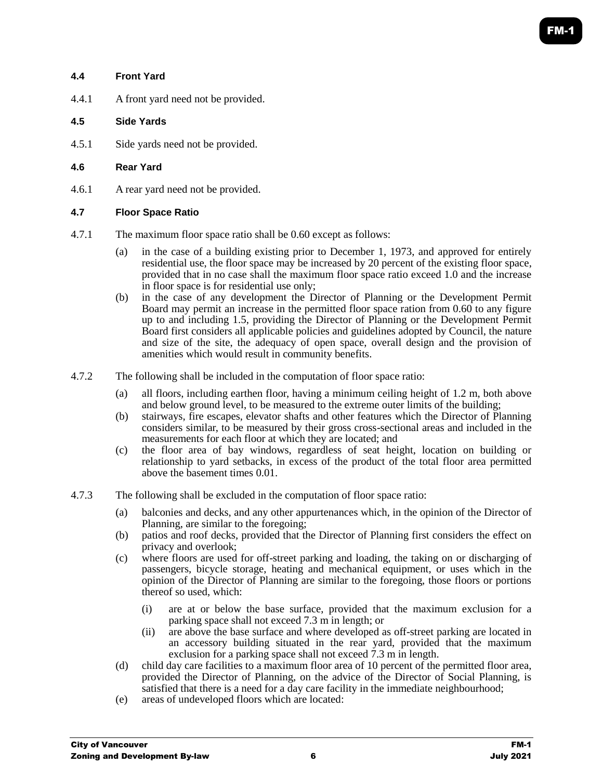#### **4.4 Front Yard**

4.4.1 A front yard need not be provided.

#### **4.5 Side Yards**

4.5.1 Side yards need not be provided.

#### **4.6 Rear Yard**

4.6.1 A rear yard need not be provided.

#### **4.7 Floor Space Ratio**

- 4.7.1 The maximum floor space ratio shall be 0.60 except as follows:
	- (a) in the case of a building existing prior to December 1, 1973, and approved for entirely residential use, the floor space may be increased by 20 percent of the existing floor space, provided that in no case shall the maximum floor space ratio exceed 1.0 and the increase in floor space is for residential use only;
	- (b) in the case of any development the Director of Planning or the Development Permit Board may permit an increase in the permitted floor space ration from 0.60 to any figure up to and including 1.5, providing the Director of Planning or the Development Permit Board first considers all applicable policies and guidelines adopted by Council, the nature and size of the site, the adequacy of open space, overall design and the provision of amenities which would result in community benefits.
- 4.7.2 The following shall be included in the computation of floor space ratio:
	- (a) all floors, including earthen floor, having a minimum ceiling height of 1.2 m, both above and below ground level, to be measured to the extreme outer limits of the building;
	- (b) stairways, fire escapes, elevator shafts and other features which the Director of Planning considers similar, to be measured by their gross cross-sectional areas and included in the measurements for each floor at which they are located; and
	- (c) the floor area of bay windows, regardless of seat height, location on building or relationship to yard setbacks, in excess of the product of the total floor area permitted above the basement times 0.01.
- 4.7.3 The following shall be excluded in the computation of floor space ratio:
	- (a) balconies and decks, and any other appurtenances which, in the opinion of the Director of Planning, are similar to the foregoing;
	- (b) patios and roof decks, provided that the Director of Planning first considers the effect on privacy and overlook;
	- (c) where floors are used for off-street parking and loading, the taking on or discharging of passengers, bicycle storage, heating and mechanical equipment, or uses which in the opinion of the Director of Planning are similar to the foregoing, those floors or portions thereof so used, which:
		- (i) are at or below the base surface, provided that the maximum exclusion for a parking space shall not exceed 7.3 m in length; or
		- (ii) are above the base surface and where developed as off-street parking are located in an accessory building situated in the rear yard, provided that the maximum exclusion for a parking space shall not exceed  $7.3 \text{ m}$  in length.
	- (d) child day care facilities to a maximum floor area of 10 percent of the permitted floor area, provided the Director of Planning, on the advice of the Director of Social Planning, is satisfied that there is a need for a day care facility in the immediate neighbourhood;
	- (e) areas of undeveloped floors which are located: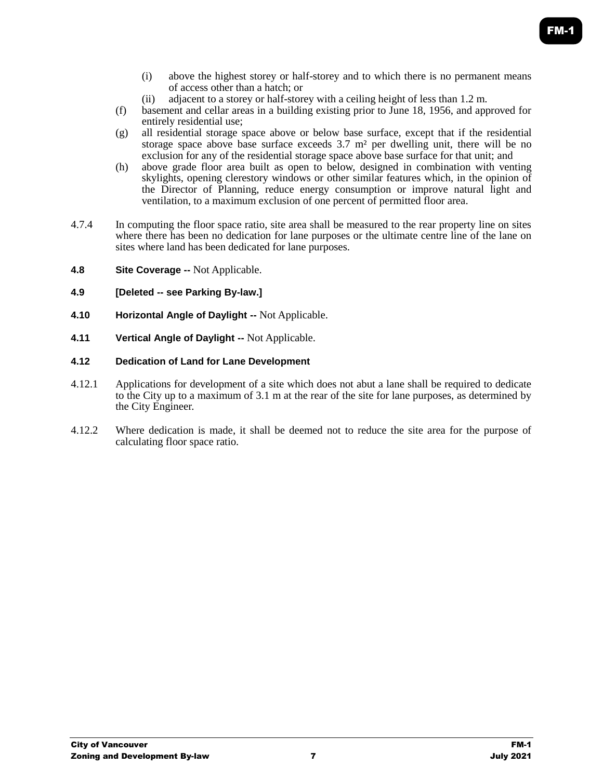- (i) above the highest storey or half-storey and to which there is no permanent means of access other than a hatch; or
- (ii) adjacent to a storey or half-storey with a ceiling height of less than 1.2 m.
- (f) basement and cellar areas in a building existing prior to June 18, 1956, and approved for entirely residential use;
- (g) all residential storage space above or below base surface, except that if the residential storage space above base surface exceeds  $3.7 \text{ m}^2$  per dwelling unit, there will be no exclusion for any of the residential storage space above base surface for that unit; and
- (h) above grade floor area built as open to below, designed in combination with venting skylights, opening clerestory windows or other similar features which, in the opinion of the Director of Planning, reduce energy consumption or improve natural light and ventilation, to a maximum exclusion of one percent of permitted floor area.
- 4.7.4 In computing the floor space ratio, site area shall be measured to the rear property line on sites where there has been no dedication for lane purposes or the ultimate centre line of the lane on sites where land has been dedicated for lane purposes.
- **4.8 Site Coverage --** Not Applicable.
- **4.9 [Deleted -- see Parking By-law.]**
- **4.10 Horizontal Angle of Daylight --** Not Applicable.
- **4.11 Vertical Angle of Daylight --** Not Applicable.

## **4.12 Dedication of Land for Lane Development**

- 4.12.1 Applications for development of a site which does not abut a lane shall be required to dedicate to the City up to a maximum of 3.1 m at the rear of the site for lane purposes, as determined by the City Engineer.
- 4.12.2 Where dedication is made, it shall be deemed not to reduce the site area for the purpose of calculating floor space ratio.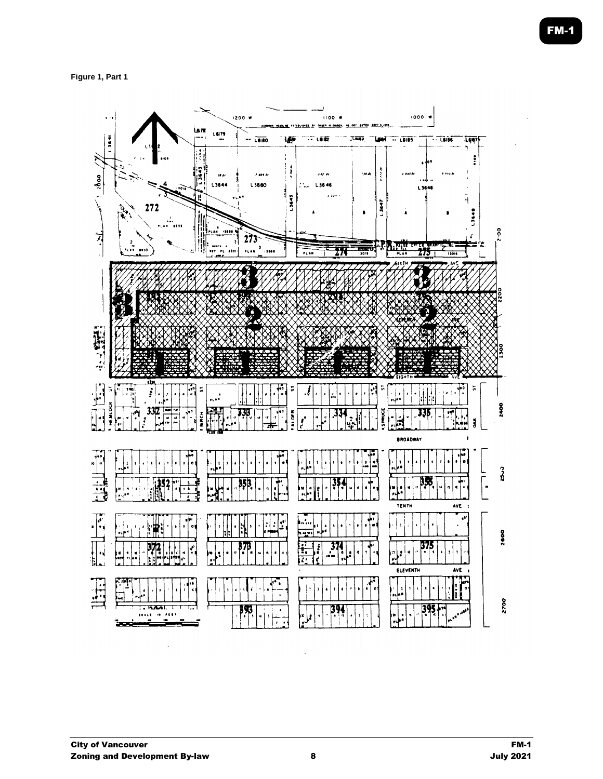**Figure 1, Part 1**